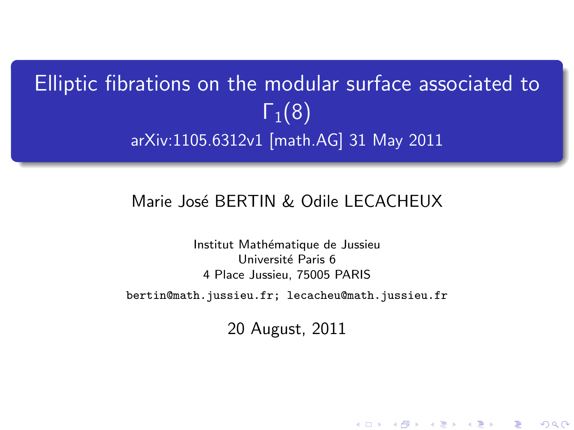# Elliptic fibrations on the modular surface associated to  $\Gamma_1(8)$ arXiv:1105.6312v1 [math.AG] 31 May 2011

#### Marie José BERTIN & Odile LECACHEUX

Institut Mathématique de Jussieu Université Paris 6 4 Place Jussieu, 75005 PARIS

<span id="page-0-0"></span>bertin@math.jussieu.fr; lecacheu@math.jussieu.fr

20 August, 2011

K ロ K K d K K K X X R X X R X R R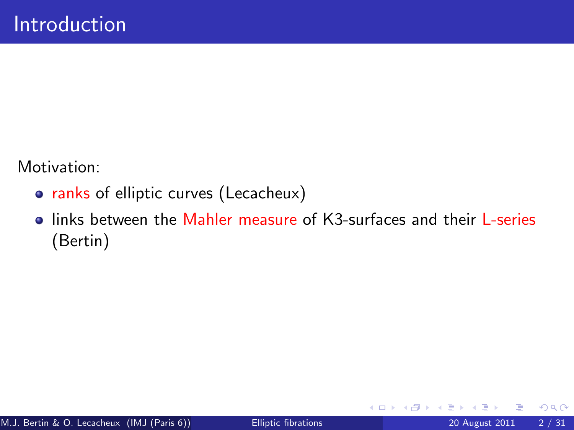Motivation:

- ranks of elliptic curves (Lecacheux)
- **I** links between the Mahler measure of K3-surfaces and their L-series (Bertin)

4 0 8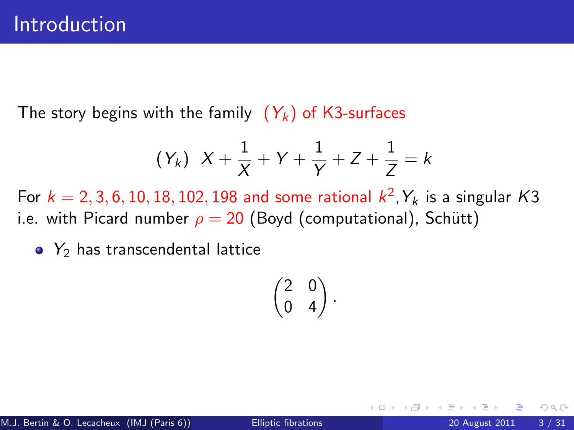The story begins with the family  $(Y_k)$  of K3-surfaces

$$
(Y_k)
$$
  $X + \frac{1}{X} + Y + \frac{1}{Y} + Z + \frac{1}{Z} = k$ 

For  $k=2,3,6,10,18,102,198$  and some rational  $k^2$ ,  $Y_k$  is a singular  $K3$ i.e. with Picard number  $\rho = 20$  (Boyd (computational), Schütt)

 $\bullet$  Y<sub>2</sub> has transcendental lattice

$$
\begin{pmatrix} 2 & 0 \\ 0 & 4 \end{pmatrix}.
$$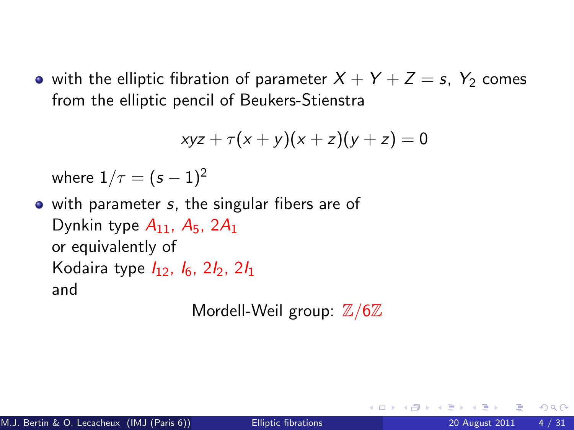• with the elliptic fibration of parameter  $X + Y + Z = s$ ,  $Y_2$  comes from the elliptic pencil of Beukers-Stienstra

$$
xyz + \tau(x+y)(x+z)(y+z) = 0
$$

where  $1/\tau = (s - 1)^2$ 

• with parameter s, the singular fibers are of Dynkin type  $A_{11}$ ,  $A_5$ ,  $2A_1$ or equivalently of Kodaira type  $I_1$ <sub>2</sub>,  $I_6$ ,  $2I_2$ ,  $2I_1$ and

Mordell-Weil group:  $\mathbb{Z}/6\mathbb{Z}$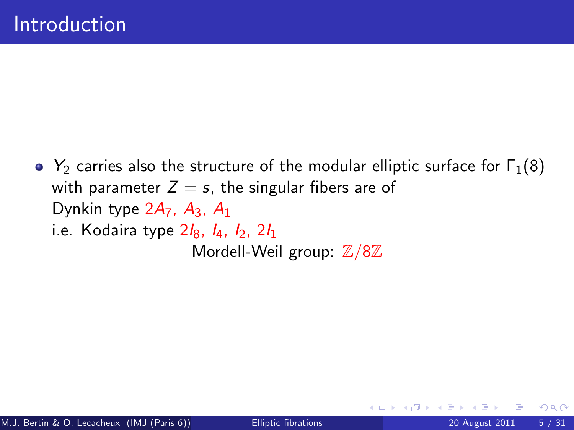$\bullet$  Y<sub>2</sub> carries also the structure of the modular elliptic surface for  $\Gamma_1(8)$ with parameter  $Z = s$ , the singular fibers are of Dynkin type  $2A_7$ ,  $A_3$ ,  $A_1$ i.e. Kodaira type  $2I_8$ ,  $I_4$ ,  $I_2$ ,  $2I_1$ Mordell-Weil group:  $\mathbb{Z}/8\mathbb{Z}$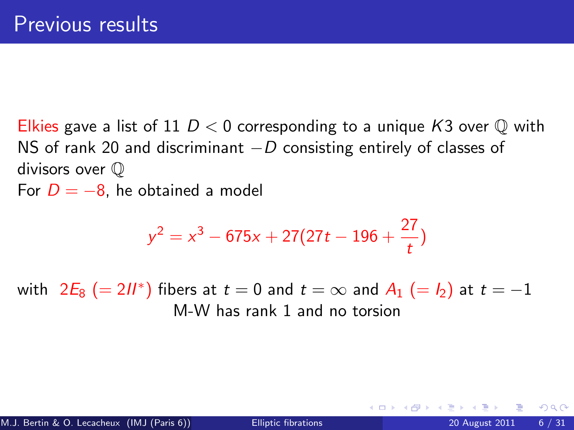Elkies gave a list of 11  $D < 0$  corresponding to a unique K3 over  $\mathbb Q$  with NS of rank 20 and discriminant  $-D$  consisting entirely of classes of divisors over Q For  $D = -8$ , he obtained a model

$$
y^2 = x^3 - 675x + 27(27t - 196 + \frac{27}{t})
$$

with  $2E_8$   $(= 2I\hspace{-0.1cm}I^*)$  fibers at  $t = 0$  and  $t = \infty$  and  $A_1$   $(= I_2)$  at  $t = -1$ M-W has rank 1 and no torsion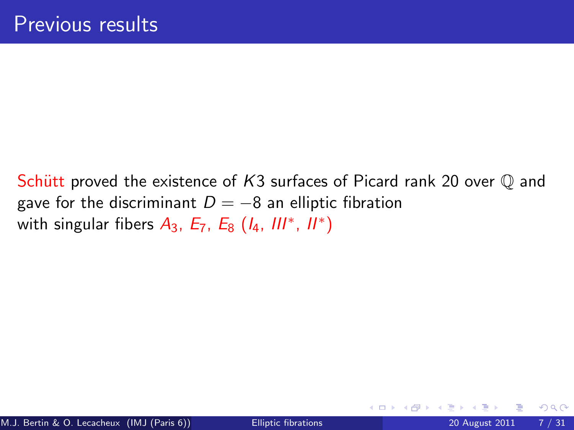Schütt proved the existence of K3 surfaces of Picard rank 20 over  $\mathbb Q$  and gave for the discriminant  $D = -8$  an elliptic fibration with singular fibers  $A_3$ ,  $E_7$ ,  $E_8$   $(I_4, III^*, II^*)$ 

4 0 8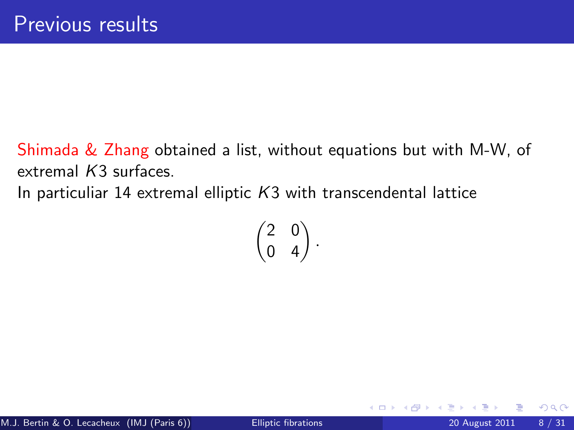Shimada & Zhang obtained a list, without equations but with M-W, of extremal K3 surfaces.

In particuliar 14 extremal elliptic  $K3$  with transcendental lattice

$$
\begin{pmatrix} 2 & 0 \\ 0 & 4 \end{pmatrix}.
$$

4 0 8

 $QQQ$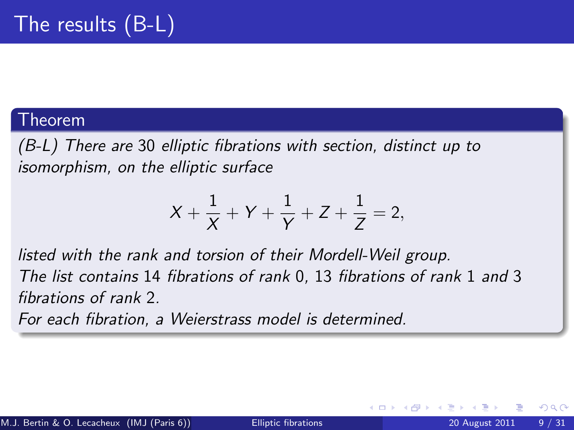#### Theorem

(B-L) There are 30 elliptic fibrations with section, distinct up to isomorphism, on the elliptic surface

$$
X + \frac{1}{X} + Y + \frac{1}{Y} + Z + \frac{1}{Z} = 2,
$$

listed with the rank and torsion of their Mordell-Weil group. The list contains 14 fibrations of rank 0, 13 fibrations of rank 1 and 3 fibrations of rank 2.

For each fibration, a Weierstrass model is determined.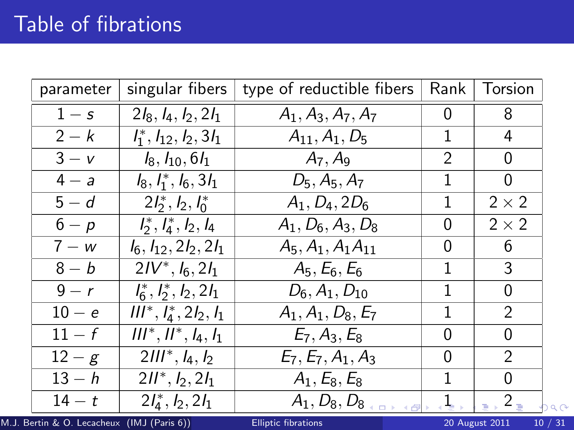| parameter | singular fibers                    | type of reductible fibers | Rank | Torsion      |
|-----------|------------------------------------|---------------------------|------|--------------|
| $1 - s$   | $2I_8$ , $I_4$ , $I_2$ , $2I_1$    | $A_1, A_3, A_7, A_7$      | 0    | 8            |
| $2-k$     | $l_1^*, l_{12}, l_2, 3l_1$         | $A_{11}, A_1, D_5$        | 1    | 4            |
| $3 - v$   | $I_8, I_{10}, 6I_1$                | $A_7, A_9$                | 2    | 0            |
| $4 - a$   | $I_8, I_1^*, I_6, 3I_1$            | $D_5, A_5, A_7$           | 1    | 0            |
| $5-d$     | $2l_2^*, l_2, l_0^*$               | $A_1, D_4, 2D_6$          | 1    | $2 \times 2$ |
| $6-p$     | $l_2^*, l_4^*, l_2, l_4$           | $A_1, D_6, A_3, D_8$      | 0    | $2 \times 2$ |
| $7-w$     | $I_6$ , $I_{12}$ , $2I_2$ , $2I_1$ | $A_5, A_1, A_1A_{11}$     | 0    | 6            |
| $8-b$     | $2IV^*, I_6, 2I_1$                 | $A_5, E_6, E_6$           | 1    | 3            |
| $9-r$     | $l_6^*, l_2^*, l_2, 2l_1$          | $D_6, A_1, D_{10}$        | 1    | 0            |
| $10 - e$  | $III^*, I_4^*, 2I_2, I_1$          | $A_1, A_1, D_8, E_7$      | 1    | 2            |
| $11-f$    | $III^*, II^*, I_4, I_1$            | $E_7, A_3, E_8$           | 0    | 0            |
| $12-g$    | $2III^*, I_4, I_2$                 | $E_7, E_7, A_1, A_3$      | 0    | 2            |
| $13-h$    | $2II^*, I_2, 2I_1$                 | $A_1, E_8, E_8$           | 1    | 0            |
| $14-t$    | $2l_4^*, l_2, 2l_1$                | $A_1, D_8, D_8$           |      | $2_{\equiv}$ |

M.J. Bertin & O. Lecacheux (IMJ (Paris 6)) [Elliptic fibrations](#page-0-0) 20 August 2011 10 / 31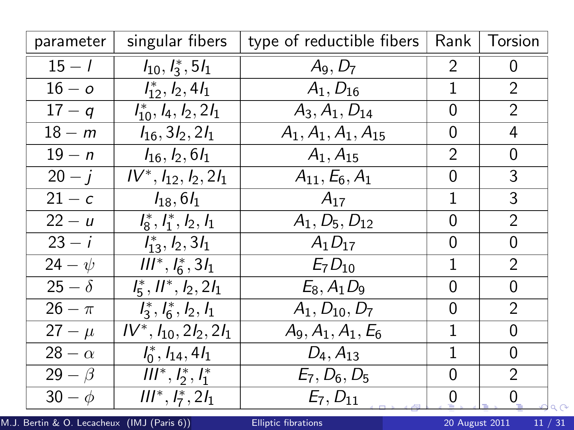| parameter     | singular fibers              | type of reductible fibers | Rank           | Torsion                                |
|---------------|------------------------------|---------------------------|----------------|----------------------------------------|
| $15 - 1$      | $I_{10}, I_3^*, 5I_1$        | $A_9, D_7$                | $\overline{2}$ | 0                                      |
| $16 - o$      | $l_{12}^*, l_2, 4l_1$        | $A_1, D_{16}$             | 1              | $\overline{2}$                         |
| $17 - q$      | $I_{10}^*, I_4, I_2, 2I_1$   | $A_3, A_1, D_{14}$        | 0              | $\overline{2}$                         |
| $18 - m$      | $I_{16}$ , 3 $I_2$ , 2 $I_1$ | $A_1, A_1, A_1, A_{15}$   | 0              | 4                                      |
| $19 - n$      | $I_{16}$ , $I_2$ , 6 $I_1$   | $A_1, A_{15}$             | 2              | 0                                      |
| $20 - i$      | $IV^*, I_{12}, I_2, 2I_1$    | $A_{11}, E_6, A_1$        | 0              | 3                                      |
| $21 - c$      | $I_{18}$ , 6 $I_1$           | $A_{17}$                  | 1              | 3                                      |
| $22 - u$      | $l_8^*, l_1^*, l_2, l_1$     | $A_1, D_5, D_{12}$        | 0              | $\overline{2}$                         |
| $23 - i$      | $l_{13}^*, l_2, 3l_1$        | $A_1D_{17}$               | 0              | 0                                      |
| $24 - \psi$   | $III^*, I_6^*, 3I_1$         | $E_7D_{10}$               | 1              | $\overline{2}$                         |
| $25 - \delta$ | $l_5^*, ll^*, l_2, 2l_1$     | $E_8, A_1D_9$             | 0              | 0                                      |
| $26 - \pi$    | $l_3^*, l_6^*, l_2, l_1$     | $A_1, D_{10}, D_7$        | 0              | $\overline{2}$                         |
| $27 - \mu$    | $IV^*, I_{10}, 2I_2, 2I_1$   | $A_9, A_1, A_1, E_6$      | 1              | 0                                      |
| $28 - \alpha$ | $I_0^*, I_{14}, 4I_1$        | $D_4, A_{13}$             | 1              | 0                                      |
| $29 - \beta$  | $III^*, I_2^*, I_1^*$        | $E_7, D_6, D_5$           | 0              | $\overline{2}$                         |
| $30 - \phi$   | $III^*, I_7^*, 2I_1$         | $E_7, D_{11}$             | 0              | 0<br>$\mathcal{Q} \propto \mathcal{Q}$ |

M.J. Bertin & O. Lecacheux (IMJ (Paris 6)) **[Elliptic fibrations](#page-0-0)** 20 August 2011 11 / 31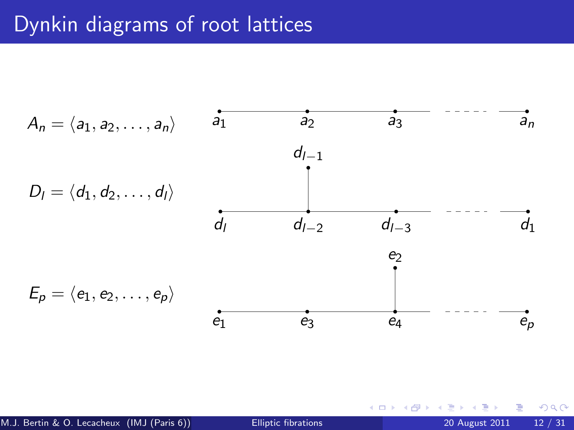## Dynkin diagrams of root lattices



4 0 8

э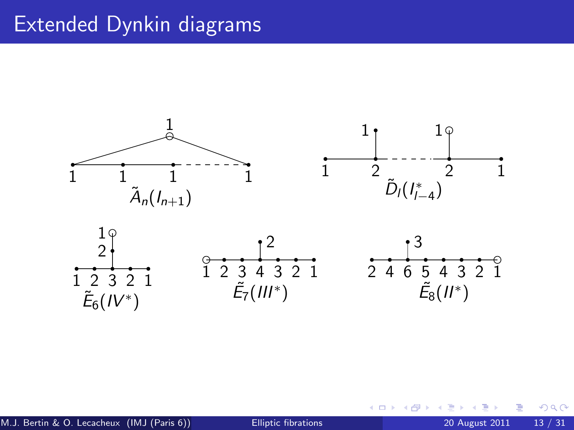## Extended Dynkin diagrams



す日→

 $\rightarrow$ 

∍

<span id="page-12-0"></span>Þ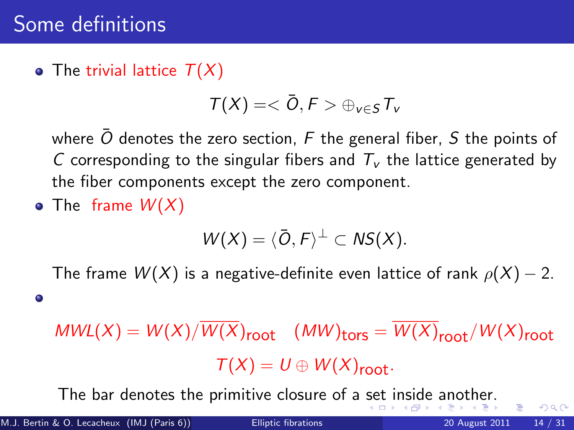#### • The trivial lattice  $T(X)$

$$
T(X)=<\bar{O}, F> \oplus_{v\in S} T_v
$$

where  $\overline{O}$  denotes the zero section, F the general fiber, S the points of C corresponding to the singular fibers and  $T_v$  the lattice generated by the fiber components except the zero component.

• The frame  $W(X)$ 

<span id="page-13-0"></span>
$$
W(X)=\langle \overline{O},F\rangle^{\perp} \subset NS(X).
$$

The frame  $W(X)$  is a negative-definite even lattice of rank  $\rho(X) - 2$ .

 $MWL(X) = W(X)/W(X)_{\text{root}}$  (MW)<sub>tors</sub> =  $W(X)_{\text{root}}/W(X)_{\text{root}}$  $T(X) = U \oplus W(X)_{\text{root}}$ .

The bar denotes the primitive closure of a [se](#page-12-0)t [i](#page-14-0)[n](#page-12-0)[sid](#page-13-0)[e](#page-14-0) [an](#page-0-0)[ot](#page-30-0)[he](#page-0-0)[r.](#page-30-0)

 $\bullet$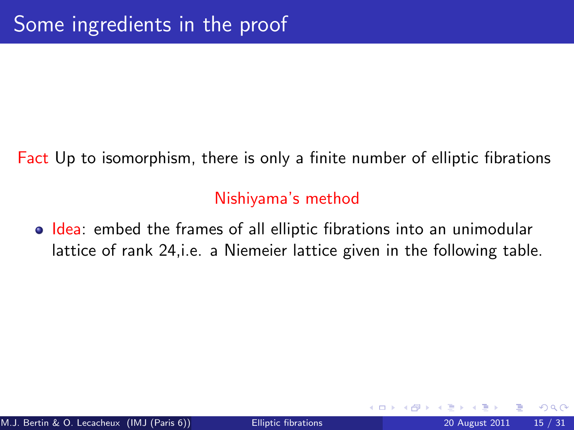Fact Up to isomorphism, there is only a finite number of elliptic fibrations

#### <span id="page-14-0"></span>Nishiyama's method

• Idea: embed the frames of all elliptic fibrations into an unimodular lattice of rank 24,i.e. a Niemeier lattice given in the following table.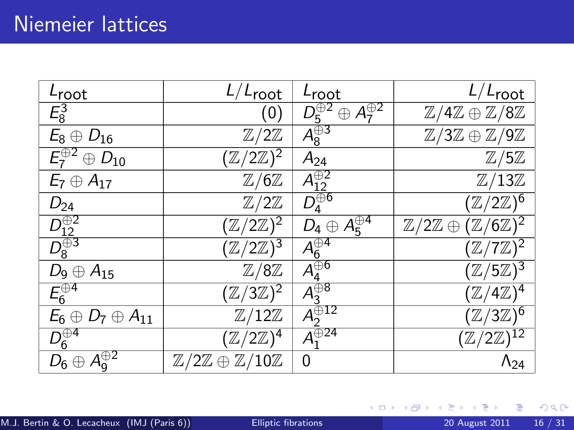| Lroot                                     | $L/L_{\text{root}}$                                     | Lroot                                  | $L/L_{\text{root}}$                                        |
|-------------------------------------------|---------------------------------------------------------|----------------------------------------|------------------------------------------------------------|
| $E_8^3$                                   | (0)                                                     | $D_5^{\oplus 2} \oplus A_7^{\oplus 2}$ | $\mathbb{Z}/4\mathbb{Z} \oplus \mathbb{Z}/8\mathbb{Z}$     |
| $E_8 \oplus D_{16}$                       | $\mathbb{Z}/2\mathbb{Z}$                                | $\overline{A_{g}^{\oplus 3}}$          | $\mathbb{Z}/3\mathbb{Z} \oplus \mathbb{Z}/9\mathbb{Z}$     |
| $\overline{E_7^{\oplus 2} \oplus D_{10}}$ | $(\mathbb{Z}/2\mathbb{Z})^2$                            | $A_{24}$                               | $\mathbb{Z}/5\mathbb{Z}$                                   |
| $E_7 \oplus A_{17}$                       | $\mathbb{Z}/6\mathbb{Z}$                                | $A_{12}^{\oplus 2}$                    | $\mathbb{Z}/13\mathbb{Z}$                                  |
| $D_{24}$                                  | $\mathbb{Z}/2\mathbb{Z}$                                | $\overline{D_4^{\oplus 6}}$            | $(\mathbb{Z}/2\mathbb{Z})^6$                               |
| $D_{12}^{\oplus 2}$                       | $(\mathbb{Z}/2\mathbb{Z})^2$                            | $D_4 \oplus A_5^{\oplus 4}$            | $\mathbb{Z}/2\mathbb{Z} \oplus (\mathbb{Z}/6\mathbb{Z})^2$ |
| $\overline{D_8^{\oplus 3}}$               | $(\mathbb{Z}/2\mathbb{Z})^3$                            | $\bar{A}^{\oplus 4}_{\underline{6}}$   | $(\mathbb{Z}/7\mathbb{Z})^2$                               |
| $D_9\oplus A_{15}$                        | $\mathbb{Z}/8\mathbb{Z}$                                | $\overline{A^{\oplus 6}_4}$            | $(\mathbb{Z}/5\mathbb{Z})^3$                               |
| $E_6^{\oplus 4}$                          | $(\mathbb{Z}/3\mathbb{Z})^{\mathbb{Z}}$                 | $\overline{A_3^{\oplus 8}}$            | $(\mathbb{Z}/4\mathbb{Z})^4$                               |
| $E_6 \oplus D_7 \oplus A_{11}$            | $\mathbb{Z}/12\mathbb{Z}$                               | $A_2^{\oplus 12}$                      | $(\mathbb{Z}/3\mathbb{Z})^6$                               |
| $\overline{D_6^{\oplus 4}}$               | $(\mathbb{Z}/2\mathbb{Z})^4$                            | $A_1^{\oplus 24}$                      | $(\mathbb{Z}/2\mathbb{Z})^{12}$                            |
| $D_6 \oplus A_9^{\oplus 2}$               | $\mathbb{Z}/2\mathbb{Z} \oplus \mathbb{Z}/10\mathbb{Z}$ | 0                                      | $\Lambda_{24}$                                             |

Þ  $\sim$ ×

**≮ロ ▶ ⊀ 伊 ▶ ⊀** 

重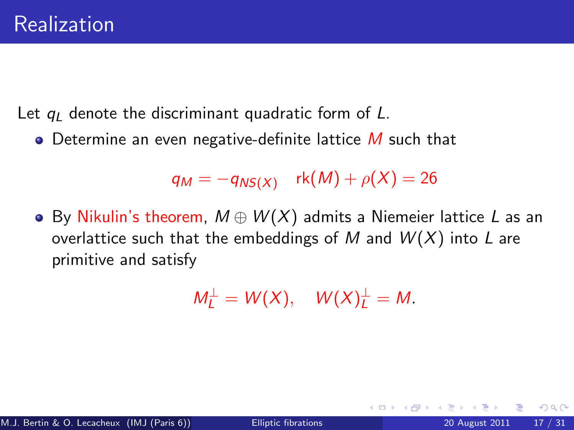Let  $q_l$  denote the discriminant quadratic form of L.

 $\bullet$  Determine an even negative-definite lattice M such that

 $q_M = -q_{NS(X)}$  rk $(M) + \rho(X) = 26$ 

 $\bullet$  By Nikulin's theorem,  $M \oplus W(X)$  admits a Niemeier lattice L as an overlattice such that the embeddings of M and  $W(X)$  into L are primitive and satisfy

$$
M_L^{\perp} = W(X), \quad W(X)_L^{\perp} = M.
$$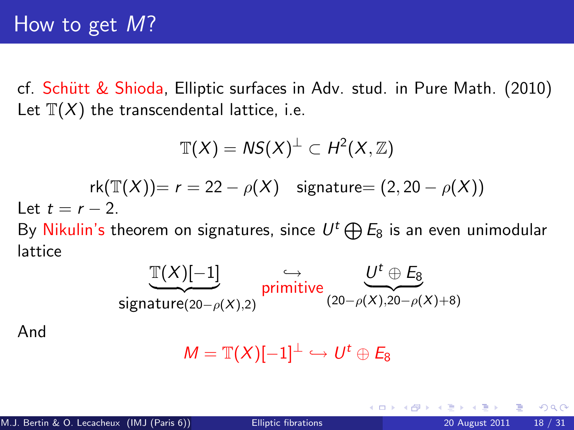cf. Schütt & Shioda, Elliptic surfaces in Adv. stud. in Pure Math. (2010) Let  $\mathbb{T}(X)$  the transcendental lattice, i.e.

$$
\mathbb{T}(X) = NS(X)^{\perp} \subset H^{2}(X, \mathbb{Z})
$$
  
\n
$$
\text{rk}(\mathbb{T}(X)) = r = 22 - \rho(X) \quad \text{signature} = (2, 20 - \rho(X))
$$
  
\nLet  $t = r - 2$ .  
\nBy Nikulin's theorem on signatures, since  $U^{t} \oplus E_{8}$  is an even unir

nodular lattice

$$
\underbrace{\mathbb{T}(X)[-1]}_{\text{signature}(20-\rho(X),2)} \overrightarrow{\text{primitive}} \underbrace{\qquad \qquad U^t \oplus E_8}_{(20-\rho(X),20-\rho(X)+8)}
$$

$$
M=\mathbb{T}(X)[-1]^\perp\hookrightarrow U^t\oplus E_8
$$

And

4 0 8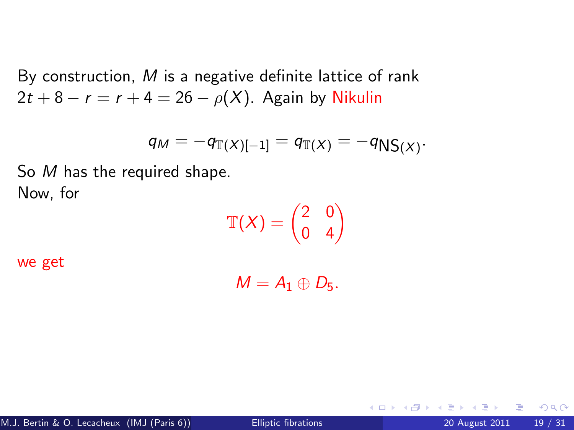By construction, M is a negative definite lattice of rank  $2t + 8 - r = r + 4 = 26 - \rho(X)$ . Again by Nikulin

$$
q_M = -q_{\mathbb{T}(X)[-1]} = q_{\mathbb{T}(X)} = -q_{\mathsf{NS}(X)}.
$$

So M has the required shape. Now, for

 $\mathbb{T}(X) = \begin{pmatrix} 2 & 0 \ 0 & 4 \end{pmatrix}$ 

we get

 $M = A_1 \oplus D_5.$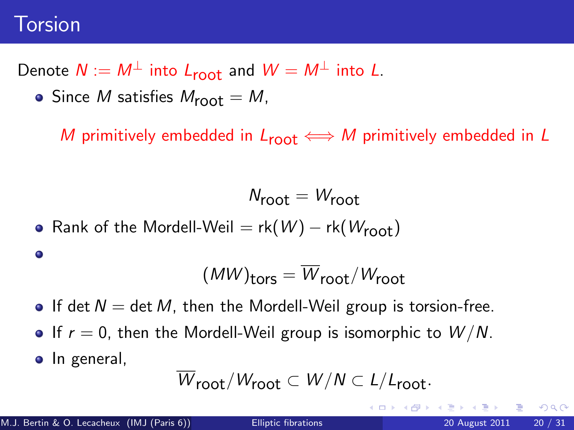### Torsion

Denote  $N := M^{\perp}$  into  $L_{\text{root}}$  and  $W = M^{\perp}$  into L.

• Since M satisfies  $M_{\text{root}} = M$ ,

M primitively embedded in  $L_{\text{root}} \iff M$  primitively embedded in L

 $N_{\text{root}} = W_{\text{root}}$ 

• Rank of the Mordell-Weil =  $rk(W) - rk(W_{\text{root}})$ 

$$
\color{blue}\bullet
$$

$$
(MW)_{tors} = \overline{W}_{root}/W_{root}
$$

- If det  $N = \det M$ , then the Mordell-Weil group is torsion-free.
- If  $r = 0$ , then the Mordell-Weil group is isomorphic to  $W/N$ .
- In general,

$$
\overline{W}_{\text{root}}/W_{\text{root}} \subset W/N \subset L/L_{\text{root}}.
$$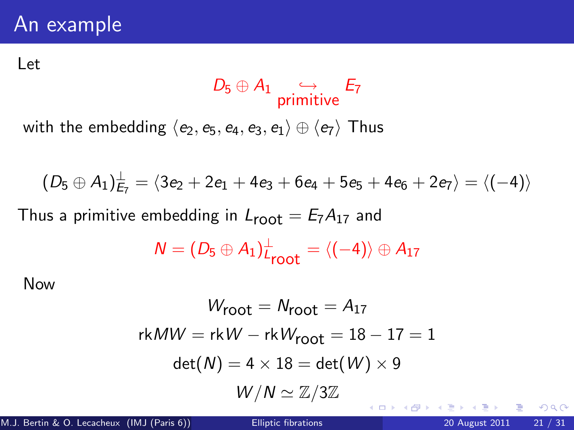## An example

#### Let

#### $D_5 \oplus A_1$  ,  $\hookrightarrow$ primitive E7

with the embedding  $\langle e_2, e_5, e_4, e_3, e_1 \rangle \oplus \langle e_7 \rangle$  Thus

$$
(D_5 \oplus A_1)^{\perp}_{E_7} = \langle 3e_2 + 2e_1 + 4e_3 + 6e_4 + 5e_5 + 4e_6 + 2e_7 \rangle = \langle (-4) \rangle
$$

Thus a primitive embedding in  $L_{\text{root}} = E_7 A_{17}$  and

$$
N=(D_5\oplus A_1)^{\perp}_{\text{root}}=\langle (-4)\rangle\oplus A_{17}
$$

Now

$$
W_{\text{root}} = N_{\text{root}} = A_{17}
$$
  
rk
$$
W = \text{rk}W - \text{rk}W_{\text{root}} = 18 - 17 = 1
$$
  

$$
\det(M) = 4 \times 18 = \det(W) \times 9
$$
  

$$
W/N \simeq \mathbb{Z}/3\mathbb{Z}
$$

÷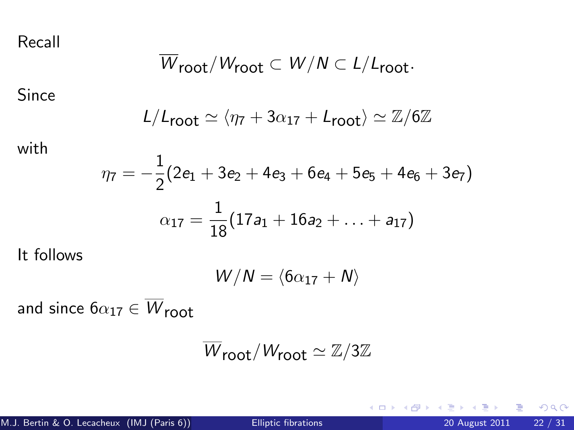Recall

$$
\overline{W}_{\text{root}}/W_{\text{root}} \subset W/N \subset L/L_{\text{root}}.
$$

Since

$$
L/L_{\text{root}} \simeq \langle \eta_7 + 3\alpha_{17} + L_{\text{root}} \rangle \simeq \mathbb{Z}/6\mathbb{Z}
$$

with

$$
\eta_7=-\frac{1}{2}(2e_1+3e_2+4e_3+6e_4+5e_5+4e_6+3e_7)
$$
  

$$
\alpha_{17}=\frac{1}{18}(17a_1+16a_2+\ldots+a_{17})
$$

It follows

$$
W/N = \langle 6\alpha_{17} + N \rangle
$$

and since  $6\alpha_{17} \in \overline{W}_{\text{root}}$ 

$$
\overline{W}_{\text{root}}/W_{\text{root}} \simeq \mathbb{Z}/3\mathbb{Z}
$$

活

Þ

**K ロ ▶ K 何 ▶**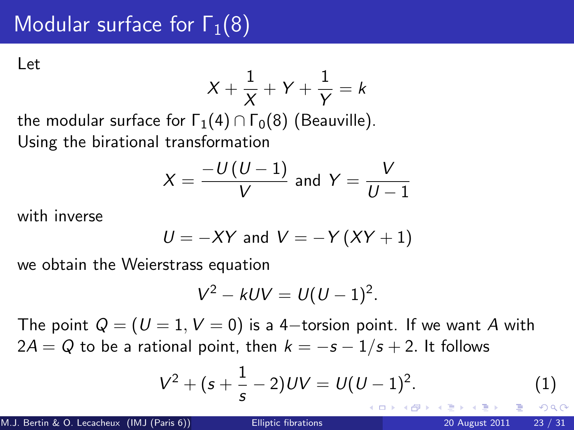# Modular surface for  $\Gamma_1(8)$

Let

$$
X + \frac{1}{X} + Y + \frac{1}{Y} = k
$$

the modular surface for  $\Gamma_1(4) \cap \Gamma_0(8)$  (Beauville). Using the birational transformation

$$
X = \frac{-U(U-1)}{V} \text{ and } Y = \frac{V}{U-1}
$$

with inverse

$$
U = -XY \text{ and } V = -Y(XY + 1)
$$

we obtain the Weierstrass equation

$$
V^2 - kUV = U(U-1)^2.
$$

The point  $Q = (U = 1, V = 0)$  is a 4-torsion point. If we want A with  $2A = Q$  to be a rational point, then  $k = -s - 1/s + 2$ . It follows

$$
V^2 + (s + \frac{1}{s} - 2)UV = U(U - 1)^2.
$$
 (1)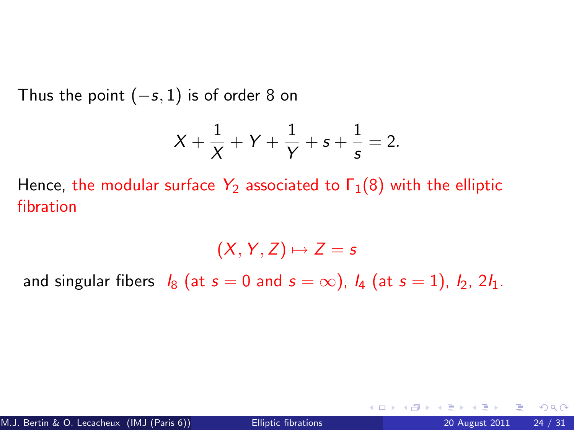Thus the point  $(-s, 1)$  is of order 8 on

$$
X + \frac{1}{X} + Y + \frac{1}{Y} + s + \frac{1}{s} = 2.
$$

Hence, the modular surface  $Y_2$  associated to  $\Gamma_1(8)$  with the elliptic fibration

 $(X, Y, Z) \mapsto Z = s$ 

and singular fibers  $I_8$  (at  $s = 0$  and  $s = \infty$ ),  $I_4$  (at  $s = 1$ ),  $I_2$ ,  $2I_1$ .

4 0 8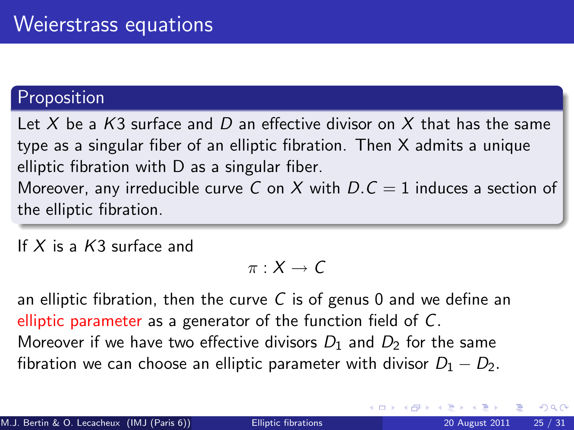#### Proposition

Let X be a K3 surface and D an effective divisor on X that has the same type as a singular fiber of an elliptic fibration. Then X admits a unique elliptic fibration with D as a singular fiber. Moreover, any irreducible curve C on X with  $D.C = 1$  induces a section of the elliptic fibration.

If  $X$  is a  $K3$  surface and

$$
\pi:X\to \mathcal{C}
$$

an elliptic fibration, then the curve C is of genus 0 and we define an elliptic parameter as a generator of the function field of C. Moreover if we have two effective divisors  $D_1$  and  $D_2$  for the same fibration we can choose an elliptic parameter with divisor  $D_1 - D_2$ .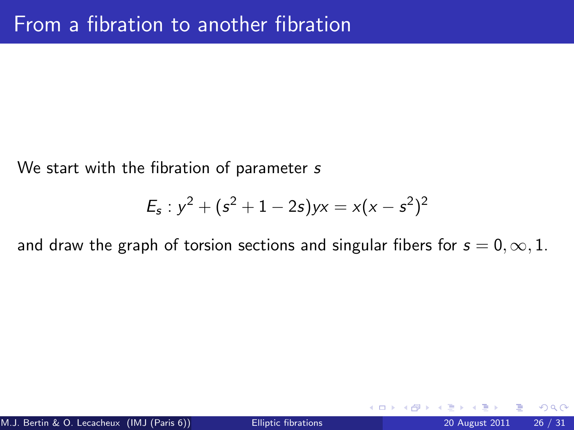We start with the fibration of parameter s

$$
E_s: y^2 + (s^2 + 1 - 2s)yx = x(x - s^2)^2
$$

and draw the graph of torsion sections and singular fibers for  $s = 0, \infty, 1$ .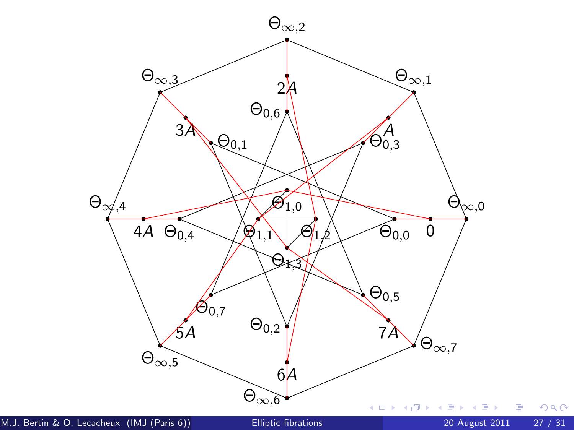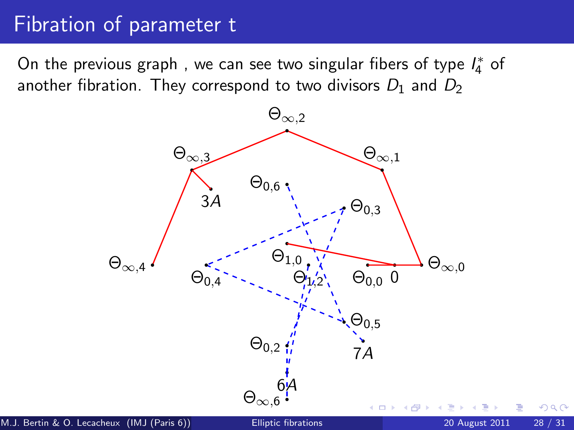## Fibration of parameter t

On the previous graph , we can see two singular fibers of type  $I_4^*$  of another fibration. They correspond to two divisors  $D_1$  and  $D_2$ 

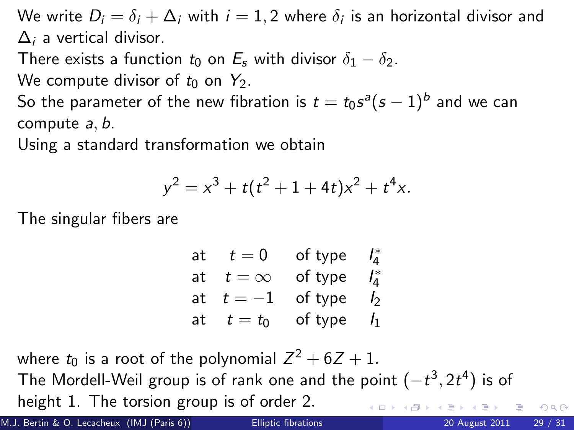We write  $D_i = \delta_i + \Delta_i$  with  $i = 1,2$  where  $\delta_i$  is an horizontal divisor and  $\Delta_i$  a vertical divisor.

There exists a function  $t_0$  on  $E_s$  with divisor  $\delta_1 - \delta_2$ .

We compute divisor of  $t_0$  on  $Y_2$ .

So the parameter of the new fibration is  $t=t_0 s^a (s-1)^b$  and we can compute a, b.

Using a standard transformation we obtain

$$
y^2 = x^3 + t(t^2 + 1 + 4t)x^2 + t^4x.
$$

The singular fibers are

| at | $t=0$      | of type | $I_4^*$        |
|----|------------|---------|----------------|
| at | $t=\infty$ | of type | $I_4^*$        |
| at | $t=-1$     | of type | I2             |
| at | $t=t_0$    | of type | I <sub>1</sub> |

where  $t_0$  is a root of the polynomial  $Z^2 + 6Z + 1$ . The Mordell-Weil group is of rank one and the point  $(-t^3, 2t^4)$  is of height 1. The torsion group is of order 2.

M.J. Bertin & O. Lecacheux (IMJ (Paris 6)) [Elliptic fibrations](#page-0-0) 20 August 2011 29 / 31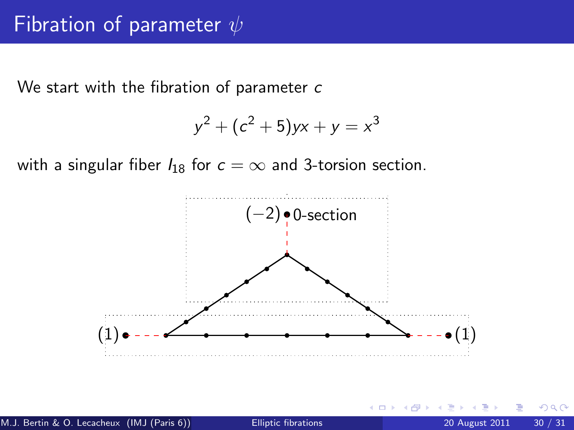We start with the fibration of parameter c

$$
y^2 + (c^2 + 5)yx + y = x^3
$$

with a singular fiber  $I_{18}$  for  $c = \infty$  and 3-torsion section.



つひひ